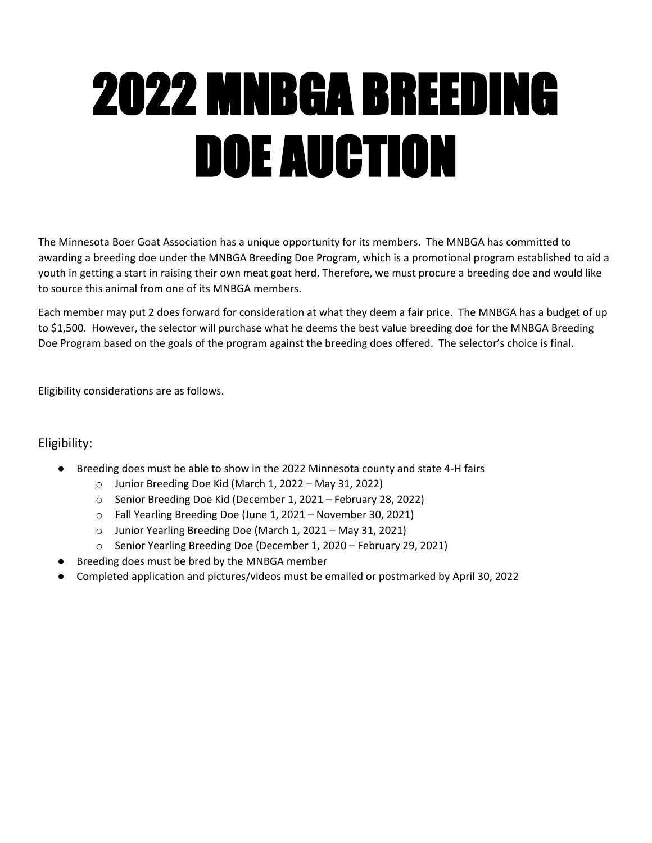## 2022 MNBGA BREEDING DOE AUCTION

The Minnesota Boer Goat Association has a unique opportunity for its members. The MNBGA has committed to awarding a breeding doe under the MNBGA Breeding Doe Program, which is a promotional program established to aid a youth in getting a start in raising their own meat goat herd. Therefore, we must procure a breeding doe and would like to source this animal from one of its MNBGA members.

Each member may put 2 does forward for consideration at what they deem a fair price. The MNBGA has a budget of up to \$1,500. However, the selector will purchase what he deems the best value breeding doe for the MNBGA Breeding Doe Program based on the goals of the program against the breeding does offered. The selector's choice is final.

Eligibility considerations are as follows.

## Eligibility:

- Breeding does must be able to show in the 2022 Minnesota county and state 4-H fairs
	- o Junior Breeding Doe Kid (March 1, 2022 May 31, 2022)
	- o Senior Breeding Doe Kid (December 1, 2021 February 28, 2022)
	- o Fall Yearling Breeding Doe (June 1, 2021 November 30, 2021)
	- o Junior Yearling Breeding Doe (March 1, 2021 May 31, 2021)
	- o Senior Yearling Breeding Doe (December 1, 2020 February 29, 2021)
- Breeding does must be bred by the MNBGA member
- Completed application and pictures/videos must be emailed or postmarked by April 30, 2022